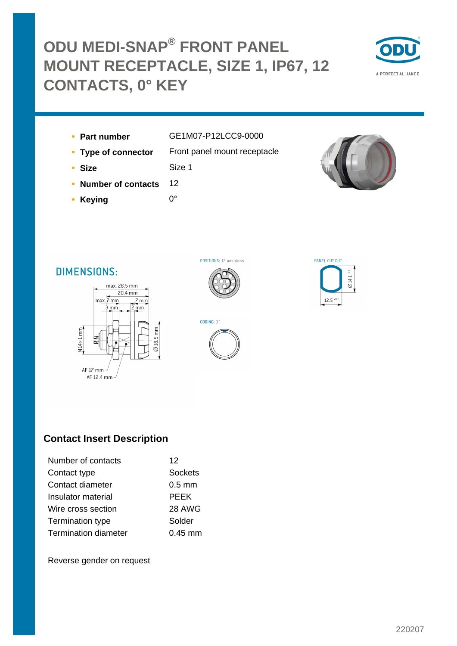## **ODU MEDI-SNAP® FRONT PANEL MOUNT RECEPTACLE, SIZE 1, IP67, 12 CONTACTS, 0° KEY**



- 
- **Part number** GE1M07-P12LCC9-0000
- **Type of connector** Front panel mount receptacle
- **Size** Size 1
- **Number of contacts** 12
- **Keying** 0°
- 
- 
- 





# **DIMENSIONS:**





### **Contact Insert Description**

| Number of contacts          | 12                |
|-----------------------------|-------------------|
| Contact type                | <b>Sockets</b>    |
| Contact diameter            | $0.5$ mm          |
| Insulator material          | <b>PEEK</b>       |
| Wire cross section          | 28 AWG            |
| Termination type            | Solder            |
| <b>Termination diameter</b> | $0.45 \text{ mm}$ |

Reverse gender on request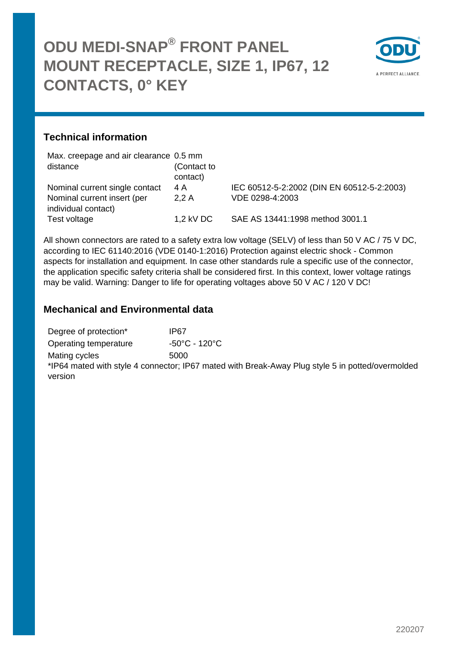

#### **Technical information**

| Max. creepage and air clearance 0.5 mm |             |                                            |
|----------------------------------------|-------------|--------------------------------------------|
| distance                               | (Contact to |                                            |
|                                        | contact)    |                                            |
| Nominal current single contact         | 4 A         | IEC 60512-5-2:2002 (DIN EN 60512-5-2:2003) |
| Nominal current insert (per            | 2.2A        | VDE 0298-4:2003                            |
| individual contact)                    |             |                                            |
| Test voltage                           | $1,2$ kV DC | SAE AS 13441:1998 method 3001.1            |

All shown connectors are rated to a safety extra low voltage (SELV) of less than 50 V AC / 75 V DC, according to IEC 61140:2016 (VDE 0140-1:2016) Protection against electric shock - Common aspects for installation and equipment. In case other standards rule a specific use of the connector, the application specific safety criteria shall be considered first. In this context, lower voltage ratings may be valid. Warning: Danger to life for operating voltages above 50 V AC / 120 V DC!

#### **Mechanical and Environmental data**

| Degree of protection* | IP67                               |
|-----------------------|------------------------------------|
| Operating temperature | $-50^{\circ}$ C - 120 $^{\circ}$ C |
| Mating cycles         | 5000                               |

\*IP64 mated with style 4 connector; IP67 mated with Break-Away Plug style 5 in potted/overmolded version